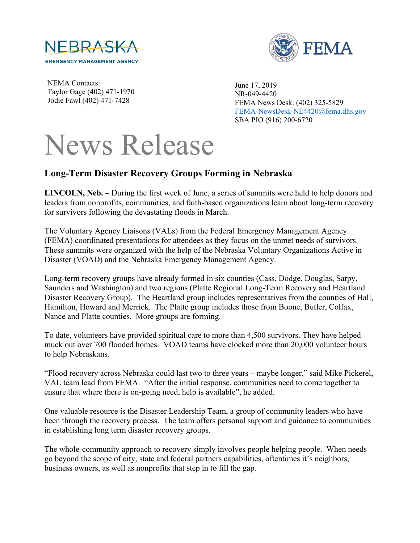



NEMA Contacts: Taylor Gage (402) 471-1970 Jodie Fawl (402) 471-7428

June 17, 2019 NR-049-4420 FEMA News Desk: (402) 325-5829 [FEMA-NewsDesk-NE4420@fema.dhs.gov](mailto:FEMA-NewsDesk-NE4420@fema.dhs.gov) SBA PIO (916) 200-6720

## News Release

## **Long-Term Disaster Recovery Groups Forming in Nebraska**

**LINCOLN, Neb.** – During the first week of June, a series of summits were held to help donors and leaders from nonprofits, communities, and faith-based organizations learn about long-term recovery for survivors following the devastating floods in March.

The Voluntary Agency Liaisons (VALs) from the Federal Emergency Management Agency (FEMA) coordinated presentations for attendees as they focus on the unmet needs of survivors. These summits were organized with the help of the Nebraska Voluntary Organizations Active in Disaster (VOAD) and the Nebraska Emergency Management Agency.

Long-term recovery groups have already formed in six counties (Cass, Dodge, Douglas, Sarpy, Saunders and Washington) and two regions (Platte Regional Long-Term Recovery and Heartland Disaster Recovery Group). The Heartland group includes representatives from the counties of Hall, Hamilton, Howard and Merrick. The Platte group includes those from Boone, Butler, Colfax, Nance and Platte counties. More groups are forming.

To date, volunteers have provided spiritual care to more than 4,500 survivors. They have helped muck out over 700 flooded homes. VOAD teams have clocked more than 20,000 volunteer hours to help Nebraskans.

"Flood recovery across Nebraska could last two to three years – maybe longer," said Mike Pickerel, VAL team lead from FEMA. "After the initial response, communities need to come together to ensure that where there is on-going need, help is available", he added.

One valuable resource is the Disaster Leadership Team, a group of community leaders who have been through the recovery process. The team offers personal support and guidance to communities in establishing long term disaster recovery groups.

The whole-community approach to recovery simply involves people helping people. When needs go beyond the scope of city, state and federal partners capabilities, oftentimes it's neighbors, business owners, as well as nonprofits that step in to fill the gap.